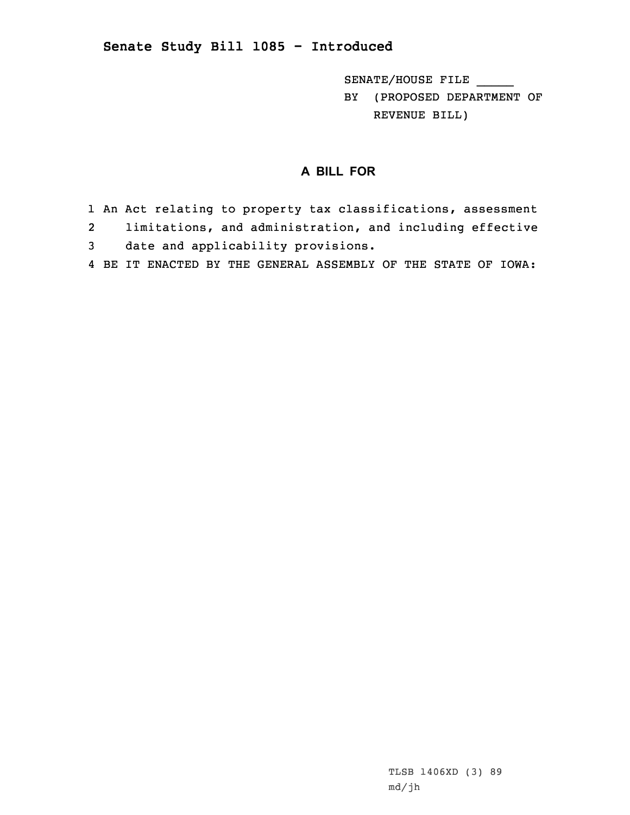## **Senate Study Bill 1085 - Introduced**

SENATE/HOUSE FILE \_\_\_\_\_

BY (PROPOSED DEPARTMENT OF REVENUE BILL)

## **A BILL FOR**

- 1 An Act relating to property tax classifications, assessment
- 2limitations, and administration, and including effective
- 3 date and applicability provisions.
- 4 BE IT ENACTED BY THE GENERAL ASSEMBLY OF THE STATE OF IOWA: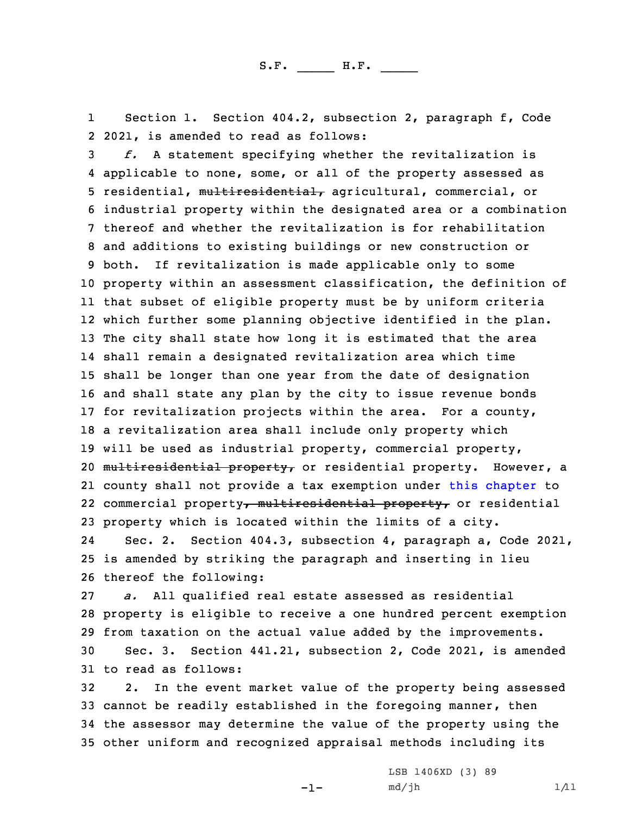1 Section 1. Section 404.2, subsection 2, paragraph f, Code 2 2021, is amended to read as follows:

 *f.* <sup>A</sup> statement specifying whether the revitalization is applicable to none, some, or all of the property assessed as 5 residential, multiresidential, agricultural, commercial, or industrial property within the designated area or <sup>a</sup> combination thereof and whether the revitalization is for rehabilitation and additions to existing buildings or new construction or both. If revitalization is made applicable only to some property within an assessment classification, the definition of that subset of eligible property must be by uniform criteria which further some planning objective identified in the plan. The city shall state how long it is estimated that the area shall remain <sup>a</sup> designated revitalization area which time shall be longer than one year from the date of designation and shall state any plan by the city to issue revenue bonds for revitalization projects within the area. For <sup>a</sup> county, <sup>a</sup> revitalization area shall include only property which will be used as industrial property, commercial property, 20 multiresidential property, or residential property. However, a county shall not provide <sup>a</sup> tax exemption under this [chapter](https://www.legis.iowa.gov/docs/code/2021/404.pdf) to 22 commercial property<del>, multiresidential property,</del> or residential property which is located within the limits of <sup>a</sup> city.

24 Sec. 2. Section 404.3, subsection 4, paragraph a, Code 2021, 25 is amended by striking the paragraph and inserting in lieu 26 thereof the following:

27 *a.* All qualified real estate assessed as residential 28 property is eligible to receive <sup>a</sup> one hundred percent exemption 29 from taxation on the actual value added by the improvements.

30 Sec. 3. Section 441.21, subsection 2, Code 2021, is amended 31 to read as follows:

 2. In the event market value of the property being assessed cannot be readily established in the foregoing manner, then the assessor may determine the value of the property using the other uniform and recognized appraisal methods including its

 $-1-$ 

LSB 1406XD (3) 89  $md/jh$  1/11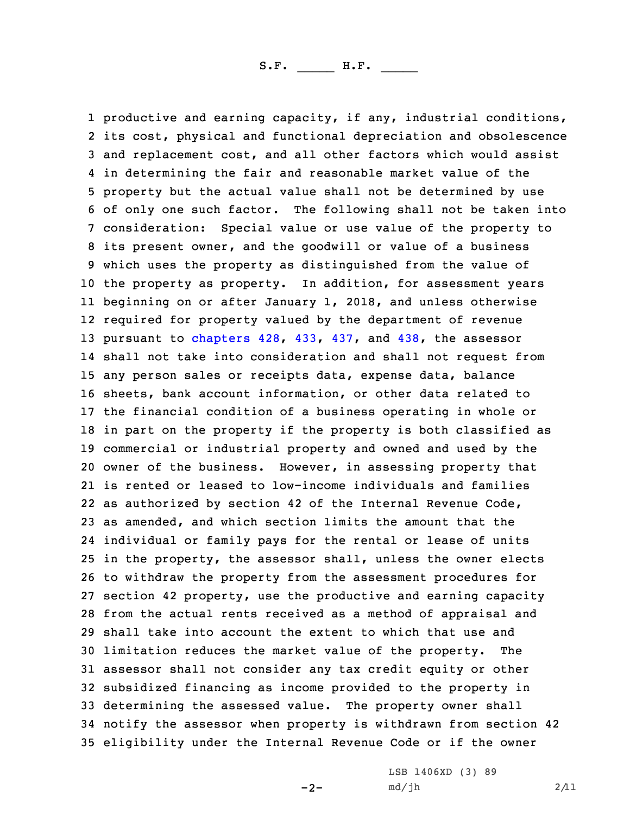productive and earning capacity, if any, industrial conditions, its cost, physical and functional depreciation and obsolescence and replacement cost, and all other factors which would assist in determining the fair and reasonable market value of the property but the actual value shall not be determined by use of only one such factor. The following shall not be taken into consideration: Special value or use value of the property to its present owner, and the goodwill or value of <sup>a</sup> business which uses the property as distinguished from the value of the property as property. In addition, for assessment years beginning on or after January 1, 2018, and unless otherwise required for property valued by the department of revenue pursuant to [chapters](https://www.legis.iowa.gov/docs/code/2021/428.pdf) 428, [433](https://www.legis.iowa.gov/docs/code/2021/433.pdf), [437](https://www.legis.iowa.gov/docs/code/2021/437.pdf), and [438](https://www.legis.iowa.gov/docs/code/2021/438.pdf), the assessor shall not take into consideration and shall not request from any person sales or receipts data, expense data, balance sheets, bank account information, or other data related to the financial condition of <sup>a</sup> business operating in whole or in part on the property if the property is both classified as commercial or industrial property and owned and used by the owner of the business. However, in assessing property that is rented or leased to low-income individuals and families as authorized by section 42 of the Internal Revenue Code, as amended, and which section limits the amount that the individual or family pays for the rental or lease of units in the property, the assessor shall, unless the owner elects to withdraw the property from the assessment procedures for section 42 property, use the productive and earning capacity from the actual rents received as <sup>a</sup> method of appraisal and shall take into account the extent to which that use and limitation reduces the market value of the property. The assessor shall not consider any tax credit equity or other subsidized financing as income provided to the property in determining the assessed value. The property owner shall notify the assessor when property is withdrawn from section 42 eligibility under the Internal Revenue Code or if the owner

 $-2-$ 

LSB 1406XD (3) 89  $md/jh$  2/11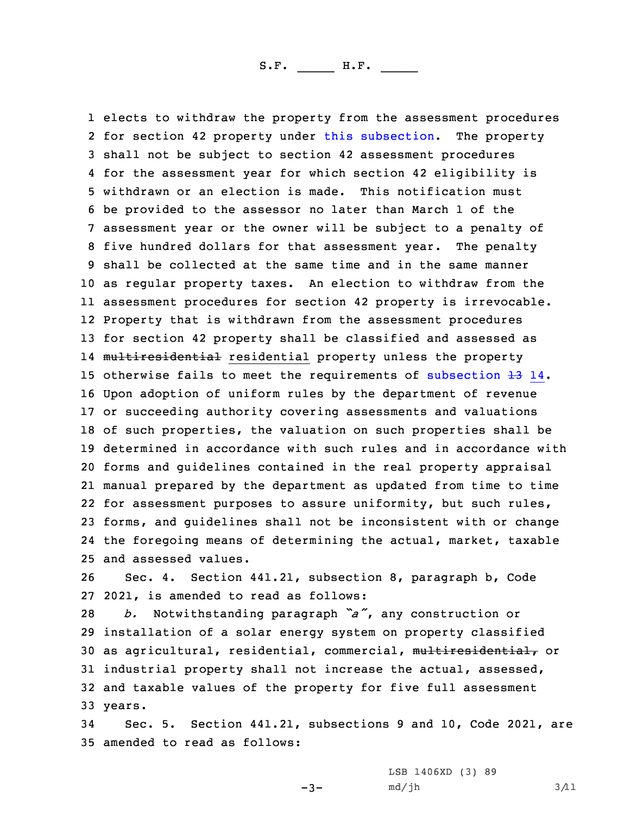elects to withdraw the property from the assessment procedures 2 for section 42 property under this [subsection](https://www.legis.iowa.gov/docs/code/2021/441.21.pdf). The property shall not be subject to section 42 assessment procedures for the assessment year for which section 42 eligibility is withdrawn or an election is made. This notification must be provided to the assessor no later than March 1 of the assessment year or the owner will be subject to <sup>a</sup> penalty of five hundred dollars for that assessment year. The penalty shall be collected at the same time and in the same manner as regular property taxes. An election to withdraw from the assessment procedures for section 42 property is irrevocable. Property that is withdrawn from the assessment procedures for section 42 property shall be classified and assessed as 14 <del>multiresidential</del> residential property unless the property 15 otherwise fails to meet the requirements of [subsection](https://www.legis.iowa.gov/docs/code/2021/441.21.pdf)  $\pm 3$  14. Upon adoption of uniform rules by the department of revenue or succeeding authority covering assessments and valuations of such properties, the valuation on such properties shall be determined in accordance with such rules and in accordance with forms and guidelines contained in the real property appraisal manual prepared by the department as updated from time to time for assessment purposes to assure uniformity, but such rules, forms, and guidelines shall not be inconsistent with or change the foregoing means of determining the actual, market, taxable and assessed values.

26 Sec. 4. Section 441.21, subsection 8, paragraph b, Code 27 2021, is amended to read as follows:

 *b.* Notwithstanding paragraph *"a"*, any construction or installation of <sup>a</sup> solar energy system on property classified as agricultural, residential, commercial, multiresidential, or industrial property shall not increase the actual, assessed, and taxable values of the property for five full assessment 33 years.

34 Sec. 5. Section 441.21, subsections 9 and 10, Code 2021, are 35 amended to read as follows:

-3-

LSB 1406XD (3) 89  $md/jh$  3/11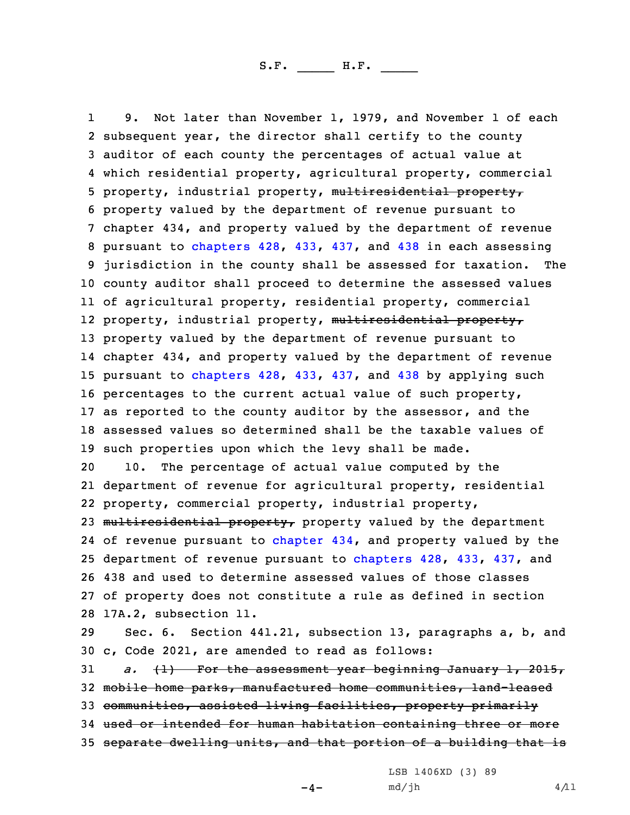1 9. Not later than November 1, 1979, and November 1 of each subsequent year, the director shall certify to the county auditor of each county the percentages of actual value at which residential property, agricultural property, commercial property, industrial property, multiresidential property, property valued by the department of revenue pursuant to chapter 434, and property valued by the department of revenue pursuant to [chapters](https://www.legis.iowa.gov/docs/code/2021/428.pdf) 428, [433](https://www.legis.iowa.gov/docs/code/2021/433.pdf), [437](https://www.legis.iowa.gov/docs/code/2021/437.pdf), and [438](https://www.legis.iowa.gov/docs/code/2021/438.pdf) in each assessing jurisdiction in the county shall be assessed for taxation. The county auditor shall proceed to determine the assessed values of agricultural property, residential property, commercial 12 property, industrial property, <del>multiresidential property,</del> property valued by the department of revenue pursuant to chapter 434, and property valued by the department of revenue pursuant to [chapters](https://www.legis.iowa.gov/docs/code/2021/428.pdf) 428, [433](https://www.legis.iowa.gov/docs/code/2021/433.pdf), [437](https://www.legis.iowa.gov/docs/code/2021/437.pdf), and [438](https://www.legis.iowa.gov/docs/code/2021/438.pdf) by applying such percentages to the current actual value of such property, as reported to the county auditor by the assessor, and the assessed values so determined shall be the taxable values of such properties upon which the levy shall be made. 10. The percentage of actual value computed by the department of revenue for agricultural property, residential property, commercial property, industrial property, 23 multiresidential property, property valued by the department 24 of revenue pursuant to [chapter](https://www.legis.iowa.gov/docs/code/2021/434.pdf) 434, and property valued by the department of revenue pursuant to [chapters](https://www.legis.iowa.gov/docs/code/2021/428.pdf) 428, [433](https://www.legis.iowa.gov/docs/code/2021/433.pdf), [437](https://www.legis.iowa.gov/docs/code/2021/437.pdf), and 438 and used to determine assessed values of those classes of property does not constitute <sup>a</sup> rule as defined in section 17A.2, subsection 11. Sec. 6. Section 441.21, subsection 13, paragraphs a, b, and c, Code 2021, are amended to read as follows: *a.* (1) For the assessment year beginning January 1, 2015,

32 mobile home parks, manufactured home communities, land-leased

33 communities, assisted living facilities, property primarily

34 used or intended for human habitation containing three or more

35 separate dwelling units, and that portion of <sup>a</sup> building that is

LSB 1406XD (3) 89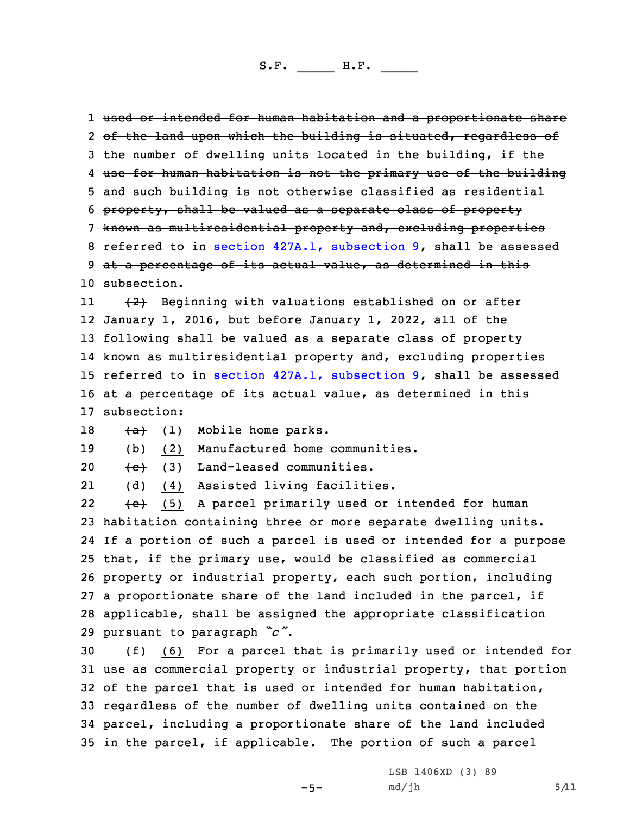used or intended for human habitation and <sup>a</sup> proportionate share 2 <del>of the land upon which the building is situated, regardless of</del> 3 the number of dwelling units located in the building, if the use for human habitation is not the primary use of the building and such building is not otherwise classified as residential property, shall be valued as <sup>a</sup> separate class of property known as multiresidential property and, excluding properties referred to in section 427A.1, [subsection](https://www.legis.iowa.gov/docs/code/2021/427A.1.pdf) 9, shall be assessed 9 at a percentage of its actual value, as determined in this subsection. 11 (2) Beginning with valuations established on or after January 1, 2016, but before January 1, 2022, all of the following shall be valued as <sup>a</sup> separate class of property known as multiresidential property and, excluding properties referred to in section 427A.1, [subsection](https://www.legis.iowa.gov/docs/code/2021/427A.1.pdf) 9, shall be assessed at <sup>a</sup> percentage of its actual value, as determined in this subsection:  $+a$  (1) Mobile home parks. 19 (b) (2) Manufactured home communities. 20 <del>(c)</del> (3) Land-leased communities. 21 (d) (4) Assisted living facilities. 22 (e) (5) <sup>A</sup> parcel primarily used or intended for human habitation containing three or more separate dwelling units. If <sup>a</sup> portion of such <sup>a</sup> parcel is used or intended for <sup>a</sup> purpose that, if the primary use, would be classified as commercial property or industrial property, each such portion, including <sup>a</sup> proportionate share of the land included in the parcel, if applicable, shall be assigned the appropriate classification pursuant to paragraph *"c"*.  $(f)$  (6) For a parcel that is primarily used or intended for use as commercial property or industrial property, that portion of the parcel that is used or intended for human habitation, regardless of the number of dwelling units contained on the parcel, including <sup>a</sup> proportionate share of the land included in the parcel, if applicable. The portion of such <sup>a</sup> parcel

-5-

LSB 1406XD (3) 89  $md/jh$  5/11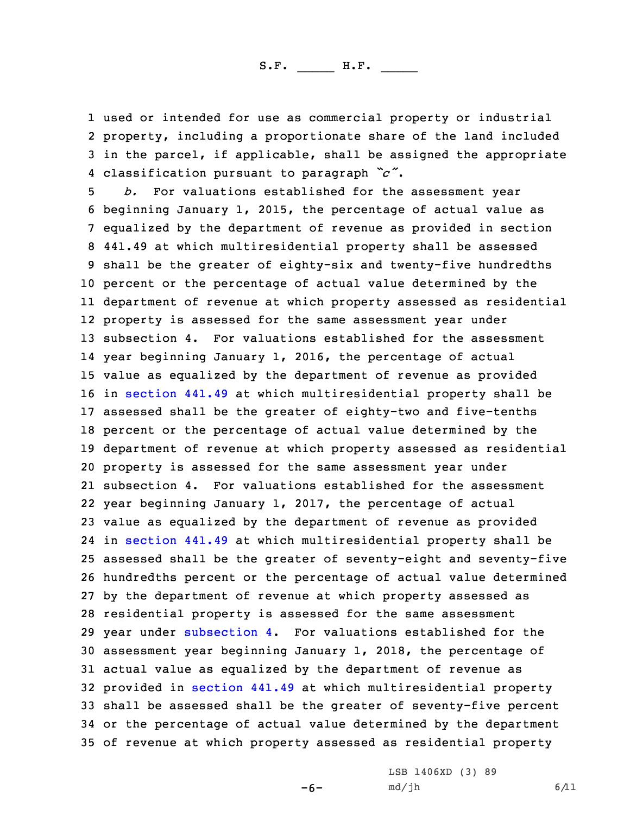used or intended for use as commercial property or industrial property, including <sup>a</sup> proportionate share of the land included in the parcel, if applicable, shall be assigned the appropriate classification pursuant to paragraph *"c"*.

 *b.* For valuations established for the assessment year beginning January 1, 2015, the percentage of actual value as equalized by the department of revenue as provided in section 441.49 at which multiresidential property shall be assessed shall be the greater of eighty-six and twenty-five hundredths percent or the percentage of actual value determined by the department of revenue at which property assessed as residential property is assessed for the same assessment year under subsection 4. For valuations established for the assessment year beginning January 1, 2016, the percentage of actual value as equalized by the department of revenue as provided in [section](https://www.legis.iowa.gov/docs/code/2021/441.49.pdf) 441.49 at which multiresidential property shall be assessed shall be the greater of eighty-two and five-tenths percent or the percentage of actual value determined by the department of revenue at which property assessed as residential property is assessed for the same assessment year under subsection 4. For valuations established for the assessment year beginning January 1, 2017, the percentage of actual value as equalized by the department of revenue as provided in [section](https://www.legis.iowa.gov/docs/code/2021/441.49.pdf) 441.49 at which multiresidential property shall be assessed shall be the greater of seventy-eight and seventy-five hundredths percent or the percentage of actual value determined by the department of revenue at which property assessed as residential property is assessed for the same assessment year under [subsection](https://www.legis.iowa.gov/docs/code/2021/441.21.pdf) 4. For valuations established for the assessment year beginning January 1, 2018, the percentage of actual value as equalized by the department of revenue as provided in [section](https://www.legis.iowa.gov/docs/code/2021/441.49.pdf) 441.49 at which multiresidential property shall be assessed shall be the greater of seventy-five percent or the percentage of actual value determined by the department of revenue at which property assessed as residential property

-6-

LSB 1406XD (3) 89  $md/jh$  6/11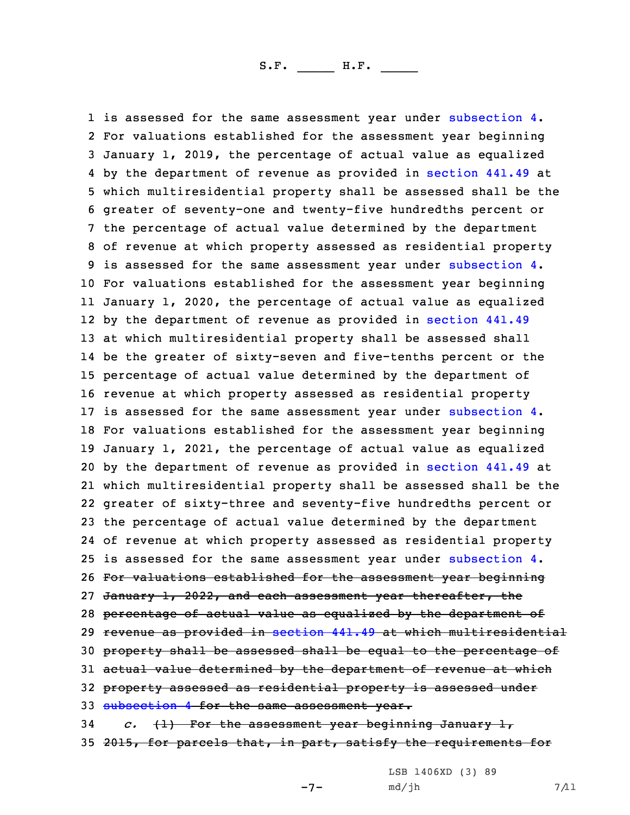1 is assessed for the same assessment year under [subsection](https://www.legis.iowa.gov/docs/code/2021/441.21.pdf) 4. For valuations established for the assessment year beginning January 1, 2019, the percentage of actual value as equalized by the department of revenue as provided in [section](https://www.legis.iowa.gov/docs/code/2021/441.49.pdf) 441.49 at which multiresidential property shall be assessed shall be the greater of seventy-one and twenty-five hundredths percent or the percentage of actual value determined by the department of revenue at which property assessed as residential property 9 is assessed for the same assessment year under [subsection](https://www.legis.iowa.gov/docs/code/2021/441.21.pdf) 4. For valuations established for the assessment year beginning January 1, 2020, the percentage of actual value as equalized by the department of revenue as provided in [section](https://www.legis.iowa.gov/docs/code/2021/441.49.pdf) 441.49 at which multiresidential property shall be assessed shall be the greater of sixty-seven and five-tenths percent or the percentage of actual value determined by the department of revenue at which property assessed as residential property 17 is assessed for the same assessment year under [subsection](https://www.legis.iowa.gov/docs/code/2021/441.21.pdf) 4. For valuations established for the assessment year beginning January 1, 2021, the percentage of actual value as equalized by the department of revenue as provided in [section](https://www.legis.iowa.gov/docs/code/2021/441.49.pdf) 441.49 at which multiresidential property shall be assessed shall be the greater of sixty-three and seventy-five hundredths percent or the percentage of actual value determined by the department of revenue at which property assessed as residential property is assessed for the same assessment year under [subsection](https://www.legis.iowa.gov/docs/code/2021/441.21.pdf) 4. For valuations established for the assessment year beginning 27 January 1, 2022, and each assessment year thereafter, the 28 percentage of actual value as equalized by the department of revenue as provided in [section](https://www.legis.iowa.gov/docs/code/2021/441.49.pdf) 441.49 at which multiresidential property shall be assessed shall be equal to the percentage of 31 actual value determined by the department of revenue at which property assessed as residential property is assessed under [subsection](https://www.legis.iowa.gov/docs/code/2021/441.21.pdf) 4 for the same assessment year. *c.* (1) For the assessment year beginning January 1,

35 2015, for parcels that, in part, satisfy the requirements for

 $-7-$ 

LSB 1406XD (3) 89  $md/jh$  7/11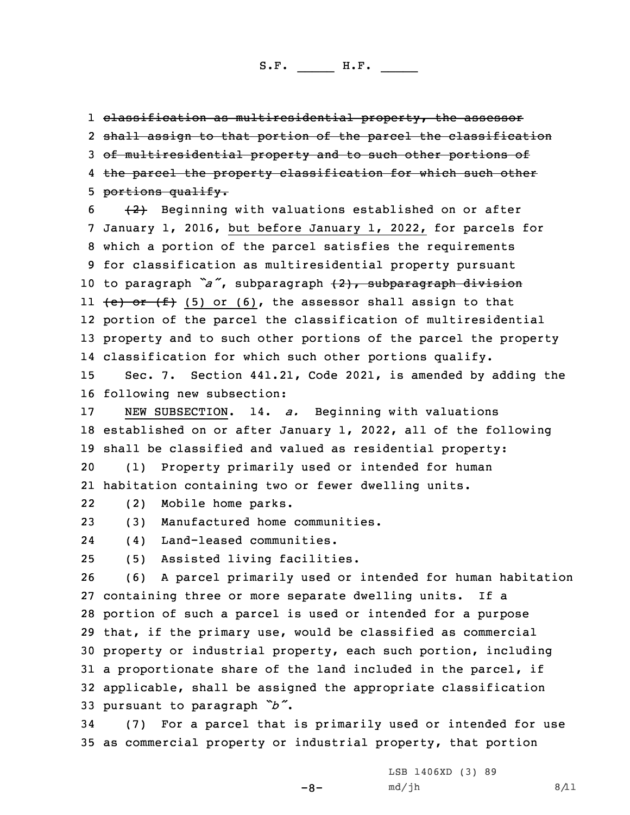1 <del>classification as multiresidential property, the assessor</del> 2 shall assign to that portion of the parcel the classification 3 of multiresidential property and to such other portions of 4 the parcel the property classification for which such other 5 portions qualify.

  $\{2\}$  Beginning with valuations established on or after January 1, 2016, but before January 1, 2022, for parcels for which <sup>a</sup> portion of the parcel satisfies the requirements for classification as multiresidential property pursuant to paragraph *"a"*, subparagraph (2), subparagraph division ll <del>(e) or (f)</del> (5) or (6), the assessor shall assign to that portion of the parcel the classification of multiresidential property and to such other portions of the parcel the property classification for which such other portions qualify.

15 Sec. 7. Section 441.21, Code 2021, is amended by adding the 16 following new subsection:

17 NEW SUBSECTION. 14. *a.* Beginning with valuations 18 established on or after January 1, 2022, all of the following 19 shall be classified and valued as residential property:

20 (1) Property primarily used or intended for human 21 habitation containing two or fewer dwelling units.

22(2) Mobile home parks.

23 (3) Manufactured home communities.

24(4) Land-leased communities.

25 (5) Assisted living facilities.

 (6) <sup>A</sup> parcel primarily used or intended for human habitation containing three or more separate dwelling units. If <sup>a</sup> portion of such <sup>a</sup> parcel is used or intended for <sup>a</sup> purpose that, if the primary use, would be classified as commercial property or industrial property, each such portion, including <sup>a</sup> proportionate share of the land included in the parcel, if applicable, shall be assigned the appropriate classification pursuant to paragraph *"b"*.

34 (7) For <sup>a</sup> parcel that is primarily used or intended for use 35 as commercial property or industrial property, that portion

-8-

LSB 1406XD (3) 89  $md/jh$  8/11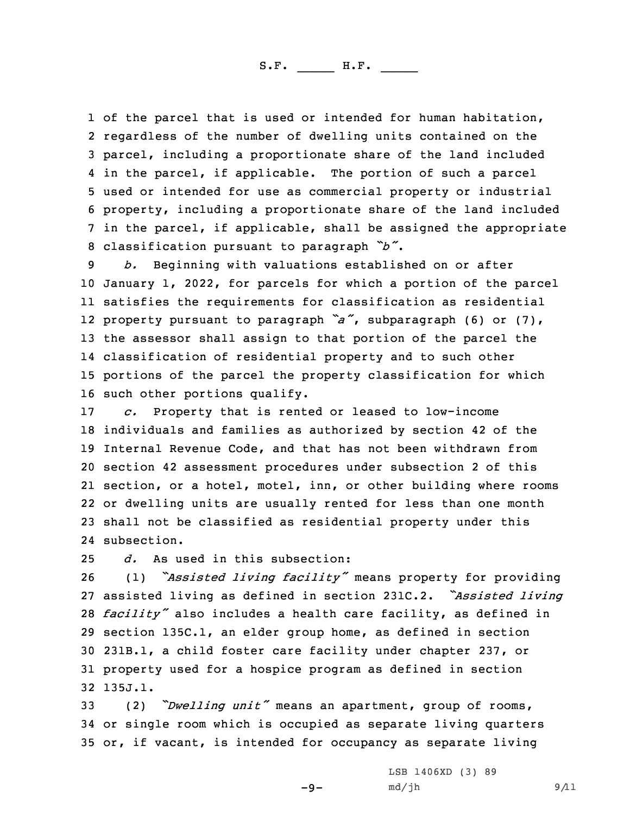1 of the parcel that is used or intended for human habitation, regardless of the number of dwelling units contained on the parcel, including <sup>a</sup> proportionate share of the land included in the parcel, if applicable. The portion of such <sup>a</sup> parcel used or intended for use as commercial property or industrial property, including <sup>a</sup> proportionate share of the land included in the parcel, if applicable, shall be assigned the appropriate classification pursuant to paragraph *"b"*.

 *b.* Beginning with valuations established on or after January 1, 2022, for parcels for which <sup>a</sup> portion of the parcel satisfies the requirements for classification as residential property pursuant to paragraph *"a"*, subparagraph (6) or (7), the assessor shall assign to that portion of the parcel the classification of residential property and to such other portions of the parcel the property classification for which such other portions qualify.

 *c.* Property that is rented or leased to low-income individuals and families as authorized by section 42 of the Internal Revenue Code, and that has not been withdrawn from section 42 assessment procedures under subsection 2 of this section, or <sup>a</sup> hotel, motel, inn, or other building where rooms or dwelling units are usually rented for less than one month shall not be classified as residential property under this subsection.

25 *d.* As used in this subsection:

 (1) *"Assisted living facility"* means property for providing assisted living as defined in section 231C.2. *"Assisted living facility"* also includes <sup>a</sup> health care facility, as defined in section 135C.1, an elder group home, as defined in section 231B.1, <sup>a</sup> child foster care facility under chapter 237, or property used for <sup>a</sup> hospice program as defined in section 32 135J.1.

<sup>33</sup> (2) *"Dwelling unit"* means an apartment, group of rooms, 34 or single room which is occupied as separate living quarters 35 or, if vacant, is intended for occupancy as separate living

 $-9-$ 

LSB 1406XD (3) 89  $md/jh$  9/11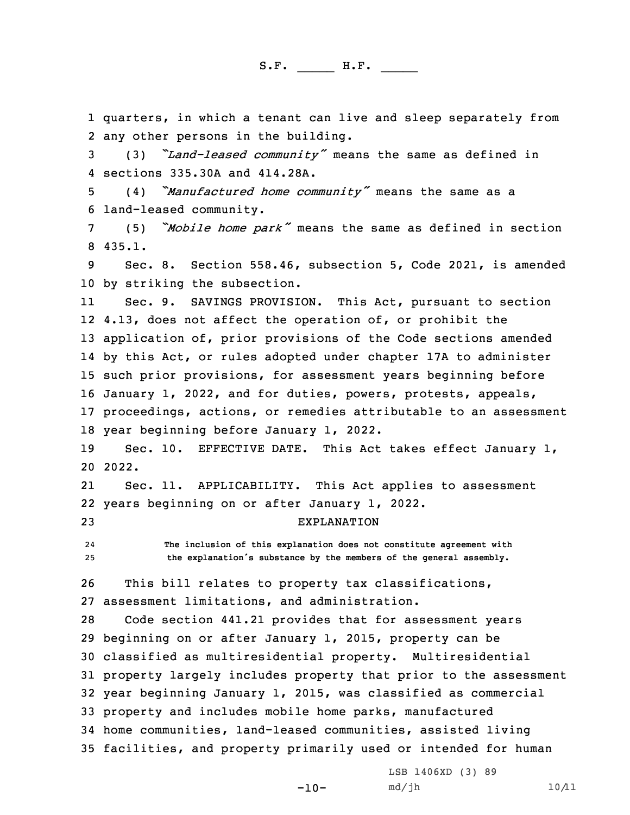1 quarters, in which <sup>a</sup> tenant can live and sleep separately from 2 any other persons in the building.

<sup>3</sup> (3) *"Land-leased community"* means the same as defined in 4 sections 335.30A and 414.28A.

<sup>5</sup> (4) *"Manufactured home community"* means the same as <sup>a</sup> 6 land-leased community.

<sup>7</sup> (5) *"Mobile home park"* means the same as defined in section 8 435.1.

9 Sec. 8. Section 558.46, subsection 5, Code 2021, is amended 10 by striking the subsection.

11 Sec. 9. SAVINGS PROVISION. This Act, pursuant to section 4.13, does not affect the operation of, or prohibit the application of, prior provisions of the Code sections amended by this Act, or rules adopted under chapter 17A to administer such prior provisions, for assessment years beginning before January 1, 2022, and for duties, powers, protests, appeals, proceedings, actions, or remedies attributable to an assessment year beginning before January 1, 2022.

19 Sec. 10. EFFECTIVE DATE. This Act takes effect January 1, 20 2022.

21 Sec. 11. APPLICABILITY. This Act applies to assessment 22 years beginning on or after January 1, 2022. 23 EXPLANATION

24 **The inclusion of this explanation does not constitute agreement with** <sup>25</sup> **the explanation's substance by the members of the general assembly.**

26 This bill relates to property tax classifications, 27 assessment limitations, and administration.

 Code section 441.21 provides that for assessment years beginning on or after January 1, 2015, property can be classified as multiresidential property. Multiresidential property largely includes property that prior to the assessment year beginning January 1, 2015, was classified as commercial property and includes mobile home parks, manufactured home communities, land-leased communities, assisted living facilities, and property primarily used or intended for human

 $-10-$ 

LSB 1406XD (3) 89 md/jh 10/11